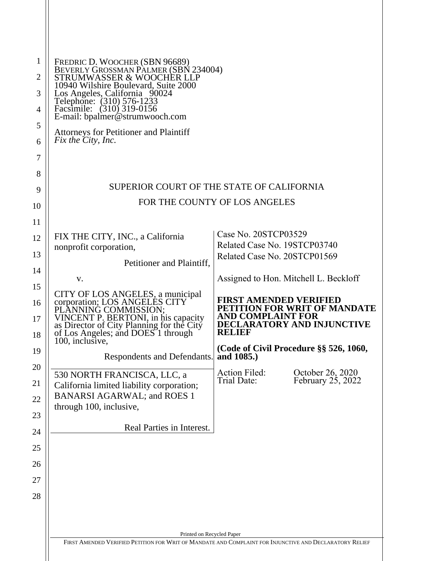| FREDRIC D. WOOCHER (SBN 96689)<br>BEVERLY GROSSMAN PALMER (SBN 234004)                                                                                                                                                                 |                                                                     |                                                                   |
|----------------------------------------------------------------------------------------------------------------------------------------------------------------------------------------------------------------------------------------|---------------------------------------------------------------------|-------------------------------------------------------------------|
| STRUMWASSER & WOOCHER LLP                                                                                                                                                                                                              |                                                                     |                                                                   |
| 10940 Wilshire Boulevard, Suite 2000                                                                                                                                                                                                   |                                                                     |                                                                   |
| Los Angeles, California 90024<br>Telephone: (310) 576-1233<br>Facsimile: (310) 319-0156<br>E-mail: bpalmer@strumwooch.com                                                                                                              |                                                                     |                                                                   |
| <b>Attorneys for Petitioner and Plaintiff</b>                                                                                                                                                                                          |                                                                     |                                                                   |
| Fix the City, Inc.                                                                                                                                                                                                                     |                                                                     |                                                                   |
|                                                                                                                                                                                                                                        |                                                                     |                                                                   |
|                                                                                                                                                                                                                                        |                                                                     |                                                                   |
| SUPERIOR COURT OF THE STATE OF CALIFORNIA                                                                                                                                                                                              |                                                                     |                                                                   |
| FOR THE COUNTY OF LOS ANGELES                                                                                                                                                                                                          |                                                                     |                                                                   |
|                                                                                                                                                                                                                                        |                                                                     |                                                                   |
|                                                                                                                                                                                                                                        |                                                                     |                                                                   |
| FIX THE CITY, INC., a California                                                                                                                                                                                                       | Case No. 20STCP03529<br>Related Case No. 19STCP03740                |                                                                   |
| nonprofit corporation,                                                                                                                                                                                                                 | Related Case No. 20STCP01569                                        |                                                                   |
| Petitioner and Plaintiff,                                                                                                                                                                                                              |                                                                     |                                                                   |
| V.                                                                                                                                                                                                                                     |                                                                     | Assigned to Hon. Mitchell L. Beckloff                             |
| CITY OF LOS ANGELES, a municipal<br>corporation; LOS ANGELES CITY<br>PLANNING COMMISSION;<br>VINCENT P. BERTONI, in his capacity<br>as Director of City Planning for the City<br>of Los Angeles; and DOES 1 through<br>100, inclusive, | <b>FIRST AMENDED VERIFIED</b><br><b>AND COMPLAINT FOR</b><br>RELIEF | PETITION FOR WRIT OF MANDATE<br><b>DECLARATORY AND INJUNCTIVE</b> |
| Respondents and Defendants.                                                                                                                                                                                                            | and 1085.)                                                          | (Code of Civil Procedure §§ 526, 1060,                            |
| 530 NORTH FRANCISCA, LLC, a                                                                                                                                                                                                            | <b>Action Filed:</b>                                                | October 26, 2020                                                  |
| California limited liability corporation;                                                                                                                                                                                              | Trial Date:                                                         | February $25, 2022$                                               |
| <b>BANARSI AGARWAL; and ROES 1</b>                                                                                                                                                                                                     |                                                                     |                                                                   |
| through 100, inclusive,                                                                                                                                                                                                                |                                                                     |                                                                   |
| Real Parties in Interest.                                                                                                                                                                                                              |                                                                     |                                                                   |
|                                                                                                                                                                                                                                        |                                                                     |                                                                   |
|                                                                                                                                                                                                                                        |                                                                     |                                                                   |
|                                                                                                                                                                                                                                        |                                                                     |                                                                   |
|                                                                                                                                                                                                                                        |                                                                     |                                                                   |
|                                                                                                                                                                                                                                        |                                                                     |                                                                   |
|                                                                                                                                                                                                                                        |                                                                     |                                                                   |
|                                                                                                                                                                                                                                        |                                                                     |                                                                   |
| Printed on Recycled Paper                                                                                                                                                                                                              |                                                                     |                                                                   |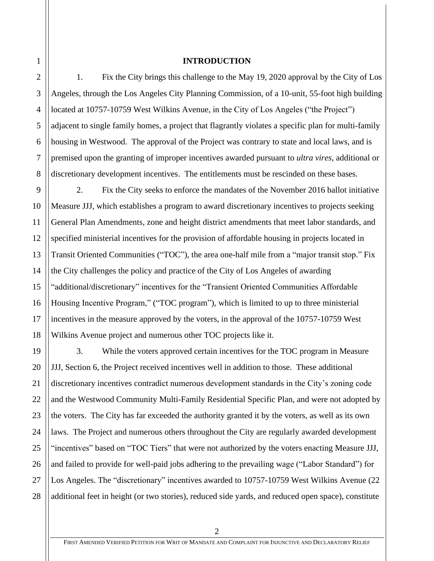#### **INTRODUCTION**

1. Fix the City brings this challenge to the May 19, 2020 approval by the City of Los Angeles, through the Los Angeles City Planning Commission, of a 10-unit, 55-foot high building located at 10757-10759 West Wilkins Avenue, in the City of Los Angeles ("the Project") adjacent to single family homes, a project that flagrantly violates a specific plan for multi-family housing in Westwood. The approval of the Project was contrary to state and local laws, and is premised upon the granting of improper incentives awarded pursuant to *ultra vires*, additional or discretionary development incentives. The entitlements must be rescinded on these bases.

2. Fix the City seeks to enforce the mandates of the November 2016 ballot initiative Measure JJJ, which establishes a program to award discretionary incentives to projects seeking General Plan Amendments, zone and height district amendments that meet labor standards, and specified ministerial incentives for the provision of affordable housing in projects located in Transit Oriented Communities ("TOC"), the area one-half mile from a "major transit stop." Fix the City challenges the policy and practice of the City of Los Angeles of awarding "additional/discretionary" incentives for the "Transient Oriented Communities Affordable Housing Incentive Program," ("TOC program"), which is limited to up to three ministerial incentives in the measure approved by the voters, in the approval of the 10757-10759 West Wilkins Avenue project and numerous other TOC projects like it.

28 3. While the voters approved certain incentives for the TOC program in Measure JJJ, Section 6, the Project received incentives well in addition to those. These additional discretionary incentives contradict numerous development standards in the City's zoning code and the Westwood Community Multi-Family Residential Specific Plan, and were not adopted by the voters. The City has far exceeded the authority granted it by the voters, as well as its own laws. The Project and numerous others throughout the City are regularly awarded development "incentives" based on "TOC Tiers" that were not authorized by the voters enacting Measure JJJ, and failed to provide for well-paid jobs adhering to the prevailing wage ("Labor Standard") for Los Angeles. The "discretionary" incentives awarded to 10757-10759 West Wilkins Avenue (22 additional feet in height (or two stories), reduced side yards, and reduced open space), constitute

1

2

3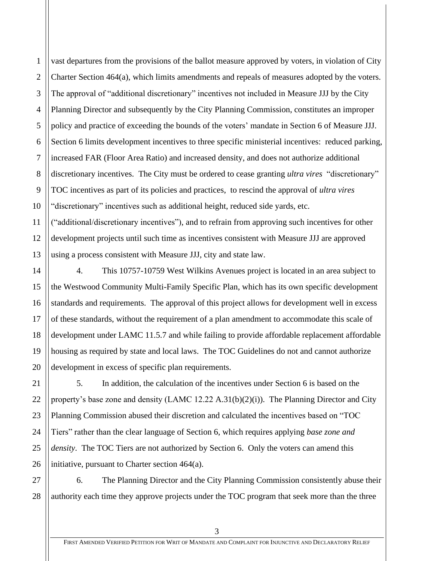2 3 4 6 vast departures from the provisions of the ballot measure approved by voters, in violation of City Charter Section 464(a), which limits amendments and repeals of measures adopted by the voters. The approval of "additional discretionary" incentives not included in Measure JJJ by the City Planning Director and subsequently by the City Planning Commission, constitutes an improper policy and practice of exceeding the bounds of the voters' mandate in Section 6 of Measure JJJ. Section 6 limits development incentives to three specific ministerial incentives: reduced parking, increased FAR (Floor Area Ratio) and increased density, and does not authorize additional discretionary incentives. The City must be ordered to cease granting *ultra vires* "discretionary" TOC incentives as part of its policies and practices, to rescind the approval of *ultra vires* "discretionary" incentives such as additional height, reduced side yards, etc.

("additional/discretionary incentives"), and to refrain from approving such incentives for other development projects until such time as incentives consistent with Measure JJJ are approved using a process consistent with Measure JJJ, city and state law.

4. This 10757-10759 West Wilkins Avenues project is located in an area subject to the Westwood Community Multi-Family Specific Plan, which has its own specific development standards and requirements. The approval of this project allows for development well in excess of these standards, without the requirement of a plan amendment to accommodate this scale of development under LAMC 11.5.7 and while failing to provide affordable replacement affordable housing as required by state and local laws. The TOC Guidelines do not and cannot authorize development in excess of specific plan requirements.

5. In addition, the calculation of the incentives under Section 6 is based on the property's base zone and density (LAMC 12.22 A.31(b)(2)(i)). The Planning Director and City Planning Commission abused their discretion and calculated the incentives based on "TOC Tiers" rather than the clear language of Section 6, which requires applying *base zone and density*. The TOC Tiers are not authorized by Section 6. Only the voters can amend this initiative, pursuant to Charter section 464(a).

6. The Planning Director and the City Planning Commission consistently abuse their authority each time they approve projects under the TOC program that seek more than the three

1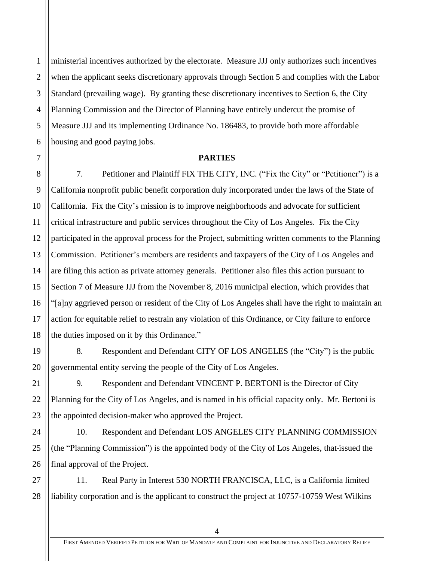1 ministerial incentives authorized by the electorate. Measure JJJ only authorizes such incentives when the applicant seeks discretionary approvals through Section 5 and complies with the Labor Standard (prevailing wage). By granting these discretionary incentives to Section 6, the City Planning Commission and the Director of Planning have entirely undercut the promise of Measure JJJ and its implementing Ordinance No. 186483, to provide both more affordable housing and good paying jobs.

## **PARTIES**

7. Petitioner and Plaintiff FIX THE CITY, INC. ("Fix the City" or "Petitioner") is a California nonprofit public benefit corporation duly incorporated under the laws of the State of California. Fix the City's mission is to improve neighborhoods and advocate for sufficient critical infrastructure and public services throughout the City of Los Angeles. Fix the City participated in the approval process for the Project, submitting written comments to the Planning Commission. Petitioner's members are residents and taxpayers of the City of Los Angeles and are filing this action as private attorney generals. Petitioner also files this action pursuant to Section 7 of Measure JJJ from the November 8, 2016 municipal election, which provides that "[a]ny aggrieved person or resident of the City of Los Angeles shall have the right to maintain an action for equitable relief to restrain any violation of this Ordinance, or City failure to enforce the duties imposed on it by this Ordinance."

8. Respondent and Defendant CITY OF LOS ANGELES (the "City") is the public governmental entity serving the people of the City of Los Angeles.

9. Respondent and Defendant VINCENT P. BERTONI is the Director of City Planning for the City of Los Angeles, and is named in his official capacity only. Mr. Bertoni is the appointed decision-maker who approved the Project.

10. Respondent and Defendant LOS ANGELES CITY PLANNING COMMISSION (the "Planning Commission") is the appointed body of the City of Los Angeles, that issued the final approval of the Project.

11. Real Party in Interest 530 NORTH FRANCISCA, LLC, is a California limited liability corporation and is the applicant to construct the project at 10757-10759 West Wilkins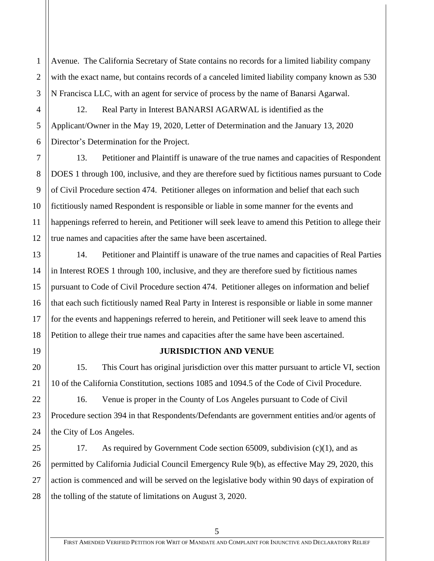Avenue. The California Secretary of State contains no records for a limited liability company with the exact name, but contains records of a canceled limited liability company known as 530 N Francisca LLC, with an agent for service of process by the name of Banarsi Agarwal.

12. Real Party in Interest BANARSI AGARWAL is identified as the Applicant/Owner in the May 19, 2020, Letter of Determination and the January 13, 2020 Director's Determination for the Project.

13. Petitioner and Plaintiff is unaware of the true names and capacities of Respondent DOES 1 through 100, inclusive, and they are therefore sued by fictitious names pursuant to Code of Civil Procedure section 474. Petitioner alleges on information and belief that each such fictitiously named Respondent is responsible or liable in some manner for the events and happenings referred to herein, and Petitioner will seek leave to amend this Petition to allege their true names and capacities after the same have been ascertained.

14. Petitioner and Plaintiff is unaware of the true names and capacities of Real Parties in Interest ROES 1 through 100, inclusive, and they are therefore sued by fictitious names pursuant to Code of Civil Procedure section 474. Petitioner alleges on information and belief that each such fictitiously named Real Party in Interest is responsible or liable in some manner for the events and happenings referred to herein, and Petitioner will seek leave to amend this Petition to allege their true names and capacities after the same have been ascertained.

## **JURISDICTION AND VENUE**

15. This Court has original jurisdiction over this matter pursuant to article VI, section 10 of the California Constitution, sections 1085 and 1094.5 of the Code of Civil Procedure.

16. Venue is proper in the County of Los Angeles pursuant to Code of Civil Procedure section 394 in that Respondents/Defendants are government entities and/or agents of the City of Los Angeles.

17. As required by Government Code section 65009, subdivision (c)(1), and as permitted by California Judicial Council Emergency Rule 9(b), as effective May 29, 2020, this action is commenced and will be served on the legislative body within 90 days of expiration of the tolling of the statute of limitations on August 3, 2020.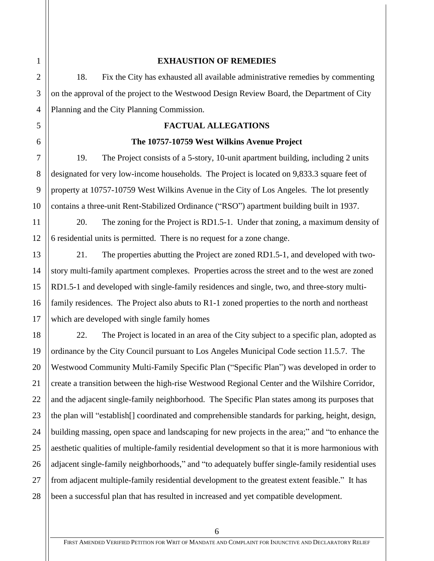## **EXHAUSTION OF REMEDIES**

18. Fix the City has exhausted all available administrative remedies by commenting on the approval of the project to the Westwood Design Review Board, the Department of City Planning and the City Planning Commission.

## **FACTUAL ALLEGATIONS**

## **The 10757-10759 West Wilkins Avenue Project**

19. The Project consists of a 5-story, 10-unit apartment building, including 2 units designated for very low-income households. The Project is located on 9,833.3 square feet of property at 10757-10759 West Wilkins Avenue in the City of Los Angeles. The lot presently contains a three-unit Rent-Stabilized Ordinance ("RSO") apartment building built in 1937.

20. The zoning for the Project is RD1.5-1. Under that zoning, a maximum density of 6 residential units is permitted. There is no request for a zone change.

21. The properties abutting the Project are zoned RD1.5-1, and developed with twostory multi-family apartment complexes. Properties across the street and to the west are zoned RD1.5-1 and developed with single-family residences and single, two, and three-story multifamily residences. The Project also abuts to R1-1 zoned properties to the north and northeast which are developed with single family homes

22. The Project is located in an area of the City subject to a specific plan, adopted as ordinance by the City Council pursuant to Los Angeles Municipal Code section 11.5.7. The Westwood Community Multi-Family Specific Plan ("Specific Plan") was developed in order to create a transition between the high-rise Westwood Regional Center and the Wilshire Corridor, and the adjacent single-family neighborhood. The Specific Plan states among its purposes that the plan will "establish[] coordinated and comprehensible standards for parking, height, design, building massing, open space and landscaping for new projects in the area;" and "to enhance the aesthetic qualities of multiple-family residential development so that it is more harmonious with adjacent single-family neighborhoods," and "to adequately buffer single-family residential uses from adjacent multiple-family residential development to the greatest extent feasible." It has been a successful plan that has resulted in increased and yet compatible development.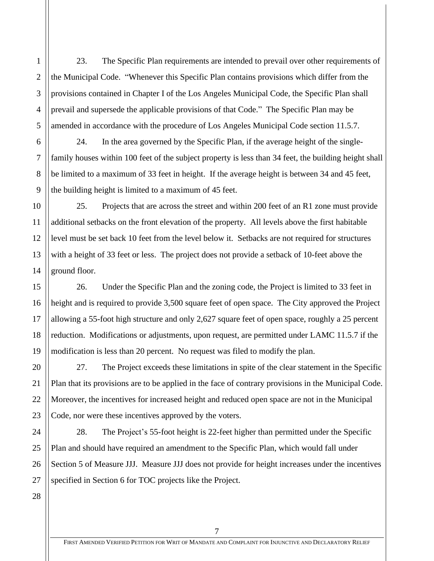23. The Specific Plan requirements are intended to prevail over other requirements of the Municipal Code. "Whenever this Specific Plan contains provisions which differ from the provisions contained in Chapter I of the Los Angeles Municipal Code, the Specific Plan shall prevail and supersede the applicable provisions of that Code." The Specific Plan may be amended in accordance with the procedure of Los Angeles Municipal Code section 11.5.7.

24. In the area governed by the Specific Plan, if the average height of the singlefamily houses within 100 feet of the subject property is less than 34 feet, the building height shall be limited to a maximum of 33 feet in height. If the average height is between 34 and 45 feet, the building height is limited to a maximum of 45 feet.

25. Projects that are across the street and within 200 feet of an R1 zone must provide additional setbacks on the front elevation of the property. All levels above the first habitable level must be set back 10 feet from the level below it. Setbacks are not required for structures with a height of 33 feet or less. The project does not provide a setback of 10-feet above the ground floor.

26. Under the Specific Plan and the zoning code, the Project is limited to 33 feet in height and is required to provide 3,500 square feet of open space. The City approved the Project allowing a 55-foot high structure and only 2,627 square feet of open space, roughly a 25 percent reduction. Modifications or adjustments, upon request, are permitted under LAMC 11.5.7 if the modification is less than 20 percent. No request was filed to modify the plan.

27. The Project exceeds these limitations in spite of the clear statement in the Specific Plan that its provisions are to be applied in the face of contrary provisions in the Municipal Code. Moreover, the incentives for increased height and reduced open space are not in the Municipal Code, nor were these incentives approved by the voters.

28. The Project's 55-foot height is 22-feet higher than permitted under the Specific Plan and should have required an amendment to the Specific Plan, which would fall under Section 5 of Measure JJJ. Measure JJJ does not provide for height increases under the incentives specified in Section 6 for TOC projects like the Project.

28

1

2

3

4

5

6

7

8

9

10

11

12

13

14

15

16

17

18

19

20

21

22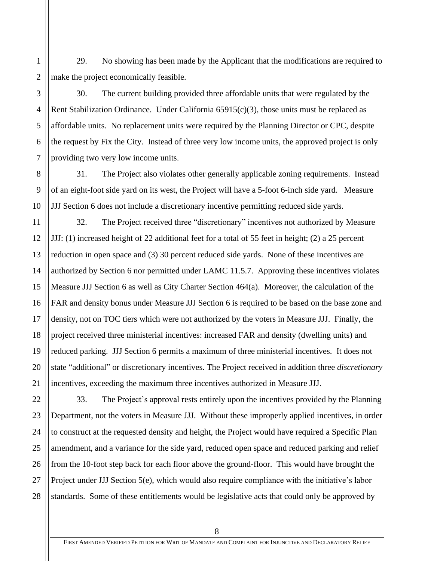29. No showing has been made by the Applicant that the modifications are required to make the project economically feasible.

30. The current building provided three affordable units that were regulated by the Rent Stabilization Ordinance. Under California 65915(c)(3), those units must be replaced as affordable units. No replacement units were required by the Planning Director or CPC, despite the request by Fix the City. Instead of three very low income units, the approved project is only providing two very low income units.

31. The Project also violates other generally applicable zoning requirements. Instead of an eight-foot side yard on its west, the Project will have a 5-foot 6-inch side yard. Measure JJJ Section 6 does not include a discretionary incentive permitting reduced side yards.

32. The Project received three "discretionary" incentives not authorized by Measure JJJ: (1) increased height of 22 additional feet for a total of 55 feet in height; (2) a 25 percent reduction in open space and (3) 30 percent reduced side yards. None of these incentives are authorized by Section 6 nor permitted under LAMC 11.5.7. Approving these incentives violates Measure JJJ Section 6 as well as City Charter Section 464(a). Moreover, the calculation of the FAR and density bonus under Measure JJJ Section 6 is required to be based on the base zone and density, not on TOC tiers which were not authorized by the voters in Measure JJJ. Finally, the project received three ministerial incentives: increased FAR and density (dwelling units) and reduced parking. JJJ Section 6 permits a maximum of three ministerial incentives. It does not state "additional" or discretionary incentives. The Project received in addition three *discretionary* incentives, exceeding the maximum three incentives authorized in Measure JJJ.

33. The Project's approval rests entirely upon the incentives provided by the Planning Department, not the voters in Measure JJJ. Without these improperly applied incentives, in order to construct at the requested density and height, the Project would have required a Specific Plan amendment, and a variance for the side yard, reduced open space and reduced parking and relief from the 10-foot step back for each floor above the ground-floor. This would have brought the Project under JJJ Section 5(e), which would also require compliance with the initiative's labor standards. Some of these entitlements would be legislative acts that could only be approved by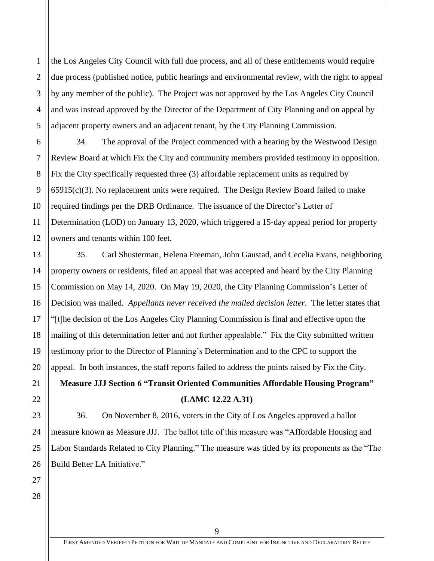the Los Angeles City Council with full due process, and all of these entitlements would require due process (published notice, public hearings and environmental review, with the right to appeal by any member of the public). The Project was not approved by the Los Angeles City Council and was instead approved by the Director of the Department of City Planning and on appeal by adjacent property owners and an adjacent tenant, by the City Planning Commission.

34. The approval of the Project commenced with a hearing by the Westwood Design Review Board at which Fix the City and community members provided testimony in opposition. Fix the City specifically requested three (3) affordable replacement units as required by  $65915(c)(3)$ . No replacement units were required. The Design Review Board failed to make required findings per the DRB Ordinance. The issuance of the Director's Letter of Determination (LOD) on January 13, 2020, which triggered a 15-day appeal period for property owners and tenants within 100 feet.

35. Carl Shusterman, Helena Freeman, John Gaustad, and Cecelia Evans, neighboring property owners or residents, filed an appeal that was accepted and heard by the City Planning Commission on May 14, 2020. On May 19, 2020, the City Planning Commission's Letter of Decision was mailed. *Appellants never received the mailed decision letter*. The letter states that "[t]he decision of the Los Angeles City Planning Commission is final and effective upon the mailing of this determination letter and not further appealable." Fix the City submitted written testimony prior to the Director of Planning's Determination and to the CPC to support the appeal. In both instances, the staff reports failed to address the points raised by Fix the City. **Measure JJJ Section 6 "Transit Oriented Communities Affordable Housing Program" (LAMC 12.22 A.31)**

36. On November 8, 2016, voters in the City of Los Angeles approved a ballot measure known as Measure JJJ. The ballot title of this measure was "Affordable Housing and Labor Standards Related to City Planning." The measure was titled by its proponents as the "The Build Better LA Initiative."

1

2

FIRST AMENDED VERIFIED PETITION FOR WRIT OF MANDATE AND COMPLAINT FOR INJUNCTIVE AND DECLARATORY RELIEF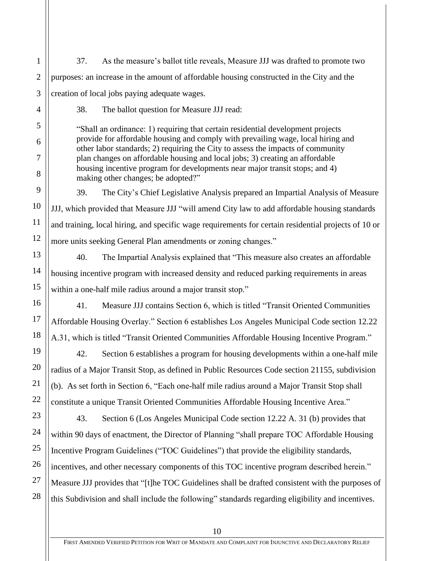37. As the measure's ballot title reveals, Measure JJJ was drafted to promote two purposes: an increase in the amount of affordable housing constructed in the City and the creation of local jobs paying adequate wages.

1

2

3

4

5

6

7

8

9

10

11

12

13

14

15

16

17

18

19

20

21

22

38. The ballot question for Measure JJJ read:

"Shall an ordinance: 1) requiring that certain residential development projects provide for affordable housing and comply with prevailing wage, local hiring and other labor standards; 2) requiring the City to assess the impacts of community plan changes on affordable housing and local jobs; 3) creating an affordable housing incentive program for developments near major transit stops; and 4) making other changes; be adopted?"

39. The City's Chief Legislative Analysis prepared an Impartial Analysis of Measure JJJ, which provided that Measure JJJ "will amend City law to add affordable housing standards and training, local hiring, and specific wage requirements for certain residential projects of 10 or more units seeking General Plan amendments or zoning changes."

40. The Impartial Analysis explained that "This measure also creates an affordable housing incentive program with increased density and reduced parking requirements in areas within a one-half mile radius around a major transit stop."

41. Measure JJJ contains Section 6, which is titled "Transit Oriented Communities Affordable Housing Overlay." Section 6 establishes Los Angeles Municipal Code section 12.22 A.31, which is titled "Transit Oriented Communities Affordable Housing Incentive Program."

42. Section 6 establishes a program for housing developments within a one-half mile radius of a Major Transit Stop, as defined in Public Resources Code section 21155, subdivision (b). As set forth in Section 6, "Each one-half mile radius around a Major Transit Stop shall constitute a unique Transit Oriented Communities Affordable Housing Incentive Area."

23 24 25 26 27 28 43. Section 6 (Los Angeles Municipal Code section 12.22 A. 31 (b) provides that within 90 days of enactment, the Director of Planning "shall prepare TOC Affordable Housing Incentive Program Guidelines ("TOC Guidelines") that provide the eligibility standards, incentives, and other necessary components of this TOC incentive program described herein." Measure JJJ provides that "[t]he TOC Guidelines shall be drafted consistent with the purposes of this Subdivision and shall include the following" standards regarding eligibility and incentives.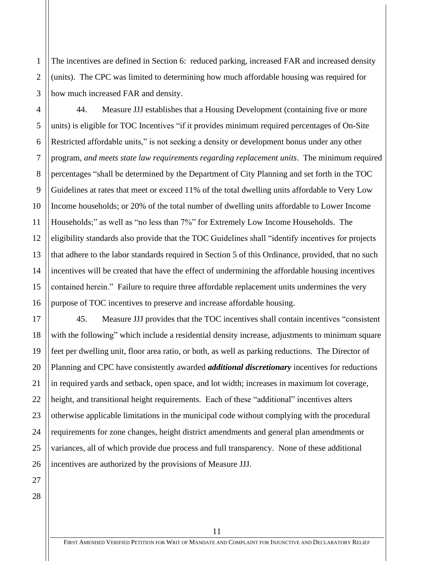The incentives are defined in Section 6: reduced parking, increased FAR and increased density (units). The CPC was limited to determining how much affordable housing was required for how much increased FAR and density.

4 6 8 9 10 12 13 14 15 16 44. Measure JJJ establishes that a Housing Development (containing five or more units) is eligible for TOC Incentives "if it provides minimum required percentages of On-Site Restricted affordable units," is not seeking a density or development bonus under any other program*, and meets state law requirements regarding replacement units*. The minimum required percentages "shall be determined by the Department of City Planning and set forth in the TOC Guidelines at rates that meet or exceed 11% of the total dwelling units affordable to Very Low Income households; or 20% of the total number of dwelling units affordable to Lower Income Households;" as well as "no less than 7%" for Extremely Low Income Households. The eligibility standards also provide that the TOC Guidelines shall "identify incentives for projects that adhere to the labor standards required in Section 5 of this Ordinance, provided, that no such incentives will be created that have the effect of undermining the affordable housing incentives contained herein." Failure to require three affordable replacement units undermines the very purpose of TOC incentives to preserve and increase affordable housing.

45. Measure JJJ provides that the TOC incentives shall contain incentives "consistent with the following" which include a residential density increase, adjustments to minimum square feet per dwelling unit, floor area ratio, or both, as well as parking reductions. The Director of Planning and CPC have consistently awarded *additional discretionary* incentives for reductions in required yards and setback, open space, and lot width; increases in maximum lot coverage, height, and transitional height requirements. Each of these "additional" incentives alters otherwise applicable limitations in the municipal code without complying with the procedural requirements for zone changes, height district amendments and general plan amendments or variances, all of which provide due process and full transparency. None of these additional incentives are authorized by the provisions of Measure JJJ.

28

1

2

3

5

7

11

17

18

19

20

21

22

23

24

25

26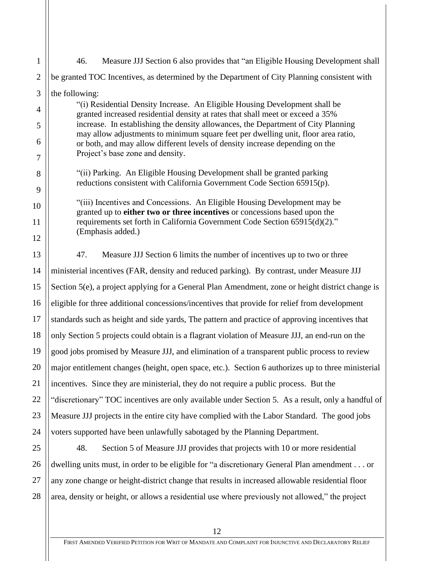| $\mathbf{1}$        | Measure JJJ Section 6 also provides that "an Eligible Housing Development shall<br>46.                                                                                                                                                                                                                                                                                                                           |  |  |
|---------------------|------------------------------------------------------------------------------------------------------------------------------------------------------------------------------------------------------------------------------------------------------------------------------------------------------------------------------------------------------------------------------------------------------------------|--|--|
| $\overline{2}$      | be granted TOC Incentives, as determined by the Department of City Planning consistent with                                                                                                                                                                                                                                                                                                                      |  |  |
| 3                   | the following:                                                                                                                                                                                                                                                                                                                                                                                                   |  |  |
| 4                   | "(i) Residential Density Increase. An Eligible Housing Development shall be<br>granted increased residential density at rates that shall meet or exceed a 35%                                                                                                                                                                                                                                                    |  |  |
| 5                   | increase. In establishing the density allowances, the Department of City Planning<br>may allow adjustments to minimum square feet per dwelling unit, floor area ratio,<br>or both, and may allow different levels of density increase depending on the<br>Project's base zone and density.                                                                                                                       |  |  |
| 6<br>$\overline{7}$ |                                                                                                                                                                                                                                                                                                                                                                                                                  |  |  |
| 8                   | "(ii) Parking. An Eligible Housing Development shall be granted parking<br>reductions consistent with California Government Code Section 65915(p).<br>"(iii) Incentives and Concessions. An Eligible Housing Development may be<br>granted up to either two or three incentives or concessions based upon the<br>requirements set forth in California Government Code Section 65915(d)(2)."<br>(Emphasis added.) |  |  |
| 9                   |                                                                                                                                                                                                                                                                                                                                                                                                                  |  |  |
| 10                  |                                                                                                                                                                                                                                                                                                                                                                                                                  |  |  |
| 11                  |                                                                                                                                                                                                                                                                                                                                                                                                                  |  |  |
| 12                  |                                                                                                                                                                                                                                                                                                                                                                                                                  |  |  |
| 13                  | 47.<br>Measure JJJ Section 6 limits the number of incentives up to two or three                                                                                                                                                                                                                                                                                                                                  |  |  |
| 14                  | ministerial incentives (FAR, density and reduced parking). By contrast, under Measure JJJ                                                                                                                                                                                                                                                                                                                        |  |  |
| 15                  | Section 5(e), a project applying for a General Plan Amendment, zone or height district change is                                                                                                                                                                                                                                                                                                                 |  |  |
| 16                  | eligible for three additional concessions/incentives that provide for relief from development                                                                                                                                                                                                                                                                                                                    |  |  |
| 17                  | standards such as height and side yards, The pattern and practice of approving incentives that                                                                                                                                                                                                                                                                                                                   |  |  |
| 18                  | only Section 5 projects could obtain is a flagrant violation of Measure JJJ, an end-run on the                                                                                                                                                                                                                                                                                                                   |  |  |
| 19                  | good jobs promised by Measure JJJ, and elimination of a transparent public process to review                                                                                                                                                                                                                                                                                                                     |  |  |
| 20                  | major entitlement changes (height, open space, etc.). Section 6 authorizes up to three ministerial                                                                                                                                                                                                                                                                                                               |  |  |
| 21                  | incentives. Since they are ministerial, they do not require a public process. But the                                                                                                                                                                                                                                                                                                                            |  |  |
| 22                  | "discretionary" TOC incentives are only available under Section 5. As a result, only a handful of                                                                                                                                                                                                                                                                                                                |  |  |
| 23                  | Measure JJJ projects in the entire city have complied with the Labor Standard. The good jobs                                                                                                                                                                                                                                                                                                                     |  |  |
| 24                  | voters supported have been unlawfully sabotaged by the Planning Department.                                                                                                                                                                                                                                                                                                                                      |  |  |
| 25                  | 48.<br>Section 5 of Measure JJJ provides that projects with 10 or more residential                                                                                                                                                                                                                                                                                                                               |  |  |
| 26                  | dwelling units must, in order to be eligible for "a discretionary General Plan amendment or                                                                                                                                                                                                                                                                                                                      |  |  |
| 27                  | any zone change or height-district change that results in increased allowable residential floor                                                                                                                                                                                                                                                                                                                  |  |  |

28 area, density or height, or allows a residential use where previously not allowed," the project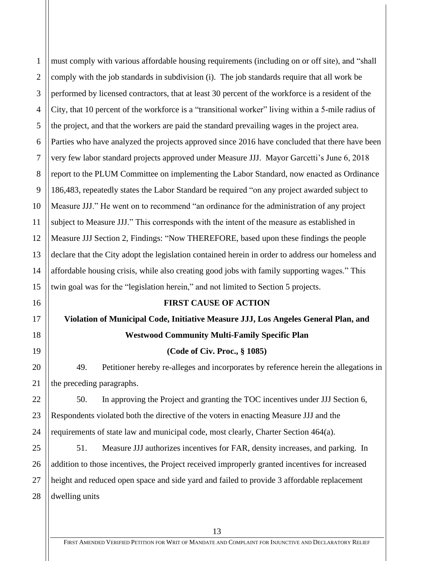1 2 3 4 5 6 7 8 9 10 11 12 13 14 15 16 17 must comply with various affordable housing requirements (including on or off site), and "shall comply with the job standards in subdivision (i). The job standards require that all work be performed by licensed contractors, that at least 30 percent of the workforce is a resident of the City, that 10 percent of the workforce is a "transitional worker" living within a 5-mile radius of the project, and that the workers are paid the standard prevailing wages in the project area. Parties who have analyzed the projects approved since 2016 have concluded that there have been very few labor standard projects approved under Measure JJJ. Mayor Garcetti's June 6, 2018 report to the PLUM Committee on implementing the Labor Standard, now enacted as Ordinance 186,483, repeatedly states the Labor Standard be required "on any project awarded subject to Measure JJJ." He went on to recommend "an ordinance for the administration of any project subject to Measure JJJ." This corresponds with the intent of the measure as established in Measure JJJ Section 2, Findings: "Now THEREFORE, based upon these findings the people declare that the City adopt the legislation contained herein in order to address our homeless and affordable housing crisis, while also creating good jobs with family supporting wages." This twin goal was for the "legislation herein," and not limited to Section 5 projects. **FIRST CAUSE OF ACTION**

# **Violation of Municipal Code, Initiative Measure JJJ, Los Angeles General Plan, and Westwood Community Multi-Family Specific Plan**

18

19

20

21

22

23

24

25

26

27

28

## **(Code of Civ. Proc., § 1085)**

49. Petitioner hereby re-alleges and incorporates by reference herein the allegations in the preceding paragraphs.

50. In approving the Project and granting the TOC incentives under JJJ Section 6, Respondents violated both the directive of the voters in enacting Measure JJJ and the requirements of state law and municipal code, most clearly, Charter Section 464(a).

51. Measure JJJ authorizes incentives for FAR, density increases, and parking. In addition to those incentives, the Project received improperly granted incentives for increased height and reduced open space and side yard and failed to provide 3 affordable replacement dwelling units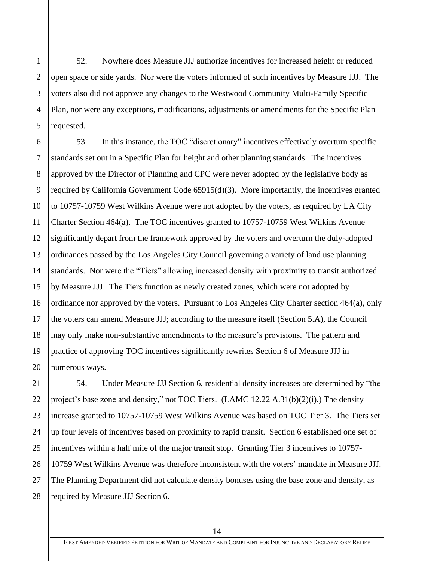1

2

3

4

5

52. Nowhere does Measure JJJ authorize incentives for increased height or reduced open space or side yards. Nor were the voters informed of such incentives by Measure JJJ. The voters also did not approve any changes to the Westwood Community Multi-Family Specific Plan, nor were any exceptions, modifications, adjustments or amendments for the Specific Plan requested.

6 7 8 9 10 11 12 13 14 15 16 17 18 19 20 53. In this instance, the TOC "discretionary" incentives effectively overturn specific standards set out in a Specific Plan for height and other planning standards. The incentives approved by the Director of Planning and CPC were never adopted by the legislative body as required by California Government Code 65915(d)(3). More importantly, the incentives granted to 10757-10759 West Wilkins Avenue were not adopted by the voters, as required by LA City Charter Section 464(a). The TOC incentives granted to 10757-10759 West Wilkins Avenue significantly depart from the framework approved by the voters and overturn the duly-adopted ordinances passed by the Los Angeles City Council governing a variety of land use planning standards. Nor were the "Tiers" allowing increased density with proximity to transit authorized by Measure JJJ. The Tiers function as newly created zones, which were not adopted by ordinance nor approved by the voters. Pursuant to Los Angeles City Charter section 464(a), only the voters can amend Measure JJJ; according to the measure itself (Section 5.A), the Council may only make non-substantive amendments to the measure's provisions. The pattern and practice of approving TOC incentives significantly rewrites Section 6 of Measure JJJ in numerous ways.

54. Under Measure JJJ Section 6, residential density increases are determined by "the project's base zone and density," not TOC Tiers. (LAMC 12.22 A.31(b)(2)(i).) The density increase granted to 10757-10759 West Wilkins Avenue was based on TOC Tier 3. The Tiers set up four levels of incentives based on proximity to rapid transit. Section 6 established one set of incentives within a half mile of the major transit stop. Granting Tier 3 incentives to 10757- 10759 West Wilkins Avenue was therefore inconsistent with the voters' mandate in Measure JJJ. The Planning Department did not calculate density bonuses using the base zone and density, as required by Measure JJJ Section 6.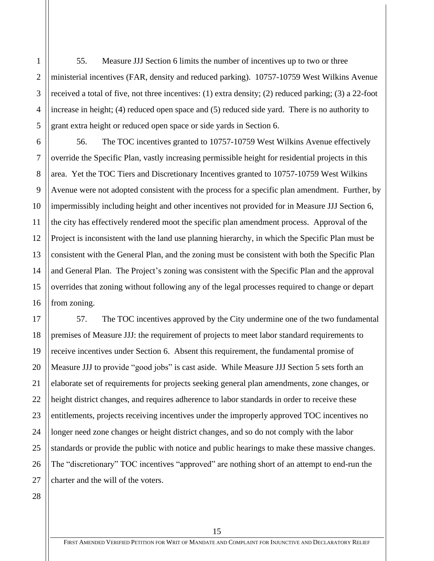55. Measure JJJ Section 6 limits the number of incentives up to two or three ministerial incentives (FAR, density and reduced parking). 10757-10759 West Wilkins Avenue received a total of five, not three incentives: (1) extra density; (2) reduced parking; (3) a 22-foot increase in height; (4) reduced open space and (5) reduced side yard. There is no authority to grant extra height or reduced open space or side yards in Section 6.

56. The TOC incentives granted to 10757-10759 West Wilkins Avenue effectively override the Specific Plan, vastly increasing permissible height for residential projects in this area. Yet the TOC Tiers and Discretionary Incentives granted to 10757-10759 West Wilkins Avenue were not adopted consistent with the process for a specific plan amendment. Further, by impermissibly including height and other incentives not provided for in Measure JJJ Section 6, the city has effectively rendered moot the specific plan amendment process. Approval of the Project is inconsistent with the land use planning hierarchy, in which the Specific Plan must be consistent with the General Plan, and the zoning must be consistent with both the Specific Plan and General Plan. The Project's zoning was consistent with the Specific Plan and the approval overrides that zoning without following any of the legal processes required to change or depart from zoning.

57. The TOC incentives approved by the City undermine one of the two fundamental premises of Measure JJJ: the requirement of projects to meet labor standard requirements to receive incentives under Section 6. Absent this requirement, the fundamental promise of Measure JJJ to provide "good jobs" is cast aside. While Measure JJJ Section 5 sets forth an elaborate set of requirements for projects seeking general plan amendments, zone changes, or height district changes, and requires adherence to labor standards in order to receive these entitlements, projects receiving incentives under the improperly approved TOC incentives no longer need zone changes or height district changes, and so do not comply with the labor standards or provide the public with notice and public hearings to make these massive changes. The "discretionary" TOC incentives "approved" are nothing short of an attempt to end-run the charter and the will of the voters.

28

1

2

3

4

5

6

7

8

9

10

11

12

13

14

15

16

17

18

19

20

21

22

23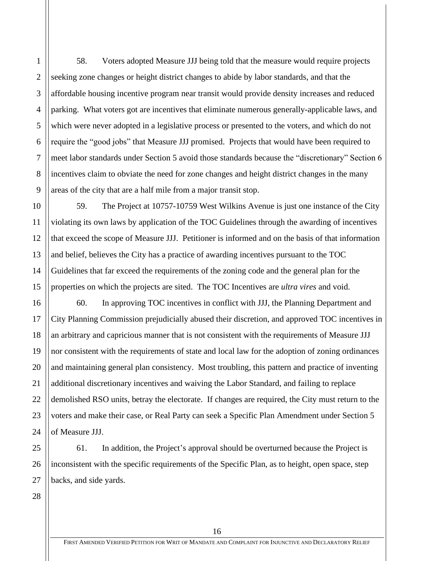58. Voters adopted Measure JJJ being told that the measure would require projects seeking zone changes or height district changes to abide by labor standards, and that the affordable housing incentive program near transit would provide density increases and reduced parking. What voters got are incentives that eliminate numerous generally-applicable laws, and which were never adopted in a legislative process or presented to the voters, and which do not require the "good jobs" that Measure JJJ promised. Projects that would have been required to meet labor standards under Section 5 avoid those standards because the "discretionary" Section 6 incentives claim to obviate the need for zone changes and height district changes in the many areas of the city that are a half mile from a major transit stop.

59. The Project at 10757-10759 West Wilkins Avenue is just one instance of the City violating its own laws by application of the TOC Guidelines through the awarding of incentives that exceed the scope of Measure JJJ. Petitioner is informed and on the basis of that information and belief, believes the City has a practice of awarding incentives pursuant to the TOC Guidelines that far exceed the requirements of the zoning code and the general plan for the properties on which the projects are sited. The TOC Incentives are *ultra vires* and void.

60. In approving TOC incentives in conflict with JJJ, the Planning Department and City Planning Commission prejudicially abused their discretion, and approved TOC incentives in an arbitrary and capricious manner that is not consistent with the requirements of Measure JJJ nor consistent with the requirements of state and local law for the adoption of zoning ordinances and maintaining general plan consistency. Most troubling, this pattern and practice of inventing additional discretionary incentives and waiving the Labor Standard, and failing to replace demolished RSO units, betray the electorate. If changes are required, the City must return to the voters and make their case, or Real Party can seek a Specific Plan Amendment under Section 5 of Measure JJJ.

61. In addition, the Project's approval should be overturned because the Project is inconsistent with the specific requirements of the Specific Plan, as to height, open space, step backs, and side yards.

1

2

3

4

5

6

7

8

9

10

11

12

13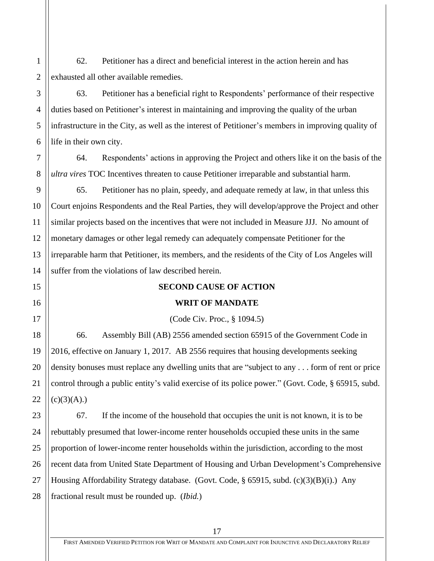62. Petitioner has a direct and beneficial interest in the action herein and has exhausted all other available remedies.

63. Petitioner has a beneficial right to Respondents' performance of their respective duties based on Petitioner's interest in maintaining and improving the quality of the urban infrastructure in the City, as well as the interest of Petitioner's members in improving quality of life in their own city.

64. Respondents' actions in approving the Project and others like it on the basis of the *ultra vires* TOC Incentives threaten to cause Petitioner irreparable and substantial harm.

65. Petitioner has no plain, speedy, and adequate remedy at law, in that unless this Court enjoins Respondents and the Real Parties, they will develop/approve the Project and other similar projects based on the incentives that were not included in Measure JJJ. No amount of monetary damages or other legal remedy can adequately compensate Petitioner for the irreparable harm that Petitioner, its members, and the residents of the City of Los Angeles will suffer from the violations of law described herein.

## **SECOND CAUSE OF ACTION**

## **WRIT OF MANDATE**

(Code Civ. Proc., § 1094.5)

66. Assembly Bill (AB) 2556 amended section 65915 of the Government Code in 2016, effective on January 1, 2017. AB 2556 requires that housing developments seeking density bonuses must replace any dwelling units that are "subject to any . . . form of rent or price control through a public entity's valid exercise of its police power." (Govt. Code, § 65915, subd.  $(c)(3)(A)$ .)

67. If the income of the household that occupies the unit is not known, it is to be rebuttably presumed that lower-income renter households occupied these units in the same proportion of lower-income renter households within the jurisdiction, according to the most recent data from United State Department of Housing and Urban Development's Comprehensive Housing Affordability Strategy database. (Govt. Code,  $\S$  65915, subd. (c)(3)(B)(i).) Any fractional result must be rounded up. (*Ibid.*)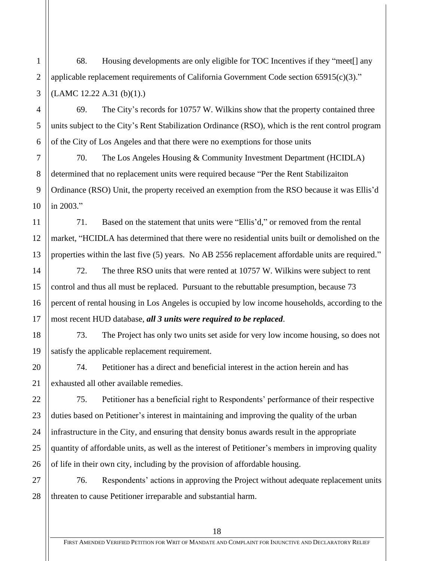68. Housing developments are only eligible for TOC Incentives if they "meet[] any applicable replacement requirements of California Government Code section 65915(c)(3)."  $(LAMC 12.22 A.31 (b)(1))$ .

69. The City's records for 10757 W. Wilkins show that the property contained three units subject to the City's Rent Stabilization Ordinance (RSO), which is the rent control program of the City of Los Angeles and that there were no exemptions for those units

70. The Los Angeles Housing & Community Investment Department (HCIDLA) determined that no replacement units were required because "Per the Rent Stabilizaiton Ordinance (RSO) Unit, the property received an exemption from the RSO because it was Ellis'd in 2003."

71. Based on the statement that units were "Ellis'd," or removed from the rental market, "HCIDLA has determined that there were no residential units built or demolished on the properties within the last five (5) years. No AB 2556 replacement affordable units are required."

72. The three RSO units that were rented at 10757 W. Wilkins were subject to rent control and thus all must be replaced. Pursuant to the rebuttable presumption, because 73 percent of rental housing in Los Angeles is occupied by low income households, according to the most recent HUD database, *all 3 units were required to be replaced*.

73. The Project has only two units set aside for very low income housing, so does not satisfy the applicable replacement requirement.

74. Petitioner has a direct and beneficial interest in the action herein and has exhausted all other available remedies.

75. Petitioner has a beneficial right to Respondents' performance of their respective duties based on Petitioner's interest in maintaining and improving the quality of the urban infrastructure in the City, and ensuring that density bonus awards result in the appropriate quantity of affordable units, as well as the interest of Petitioner's members in improving quality of life in their own city, including by the provision of affordable housing.

76. Respondents' actions in approving the Project without adequate replacement units threaten to cause Petitioner irreparable and substantial harm.

1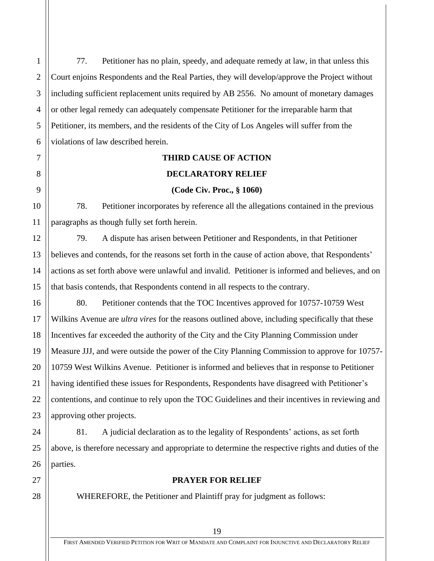77. Petitioner has no plain, speedy, and adequate remedy at law, in that unless this Court enjoins Respondents and the Real Parties, they will develop/approve the Project without including sufficient replacement units required by AB 2556. No amount of monetary damages or other legal remedy can adequately compensate Petitioner for the irreparable harm that Petitioner, its members, and the residents of the City of Los Angeles will suffer from the violations of law described herein.

## **THIRD CAUSE OF ACTION**

#### **DECLARATORY RELIEF**

#### **(Code Civ. Proc., § 1060)**

78. Petitioner incorporates by reference all the allegations contained in the previous paragraphs as though fully set forth herein.

79. A dispute has arisen between Petitioner and Respondents, in that Petitioner believes and contends, for the reasons set forth in the cause of action above, that Respondents' actions as set forth above were unlawful and invalid. Petitioner is informed and believes, and on that basis contends, that Respondents contend in all respects to the contrary.

80. Petitioner contends that the TOC Incentives approved for 10757-10759 West Wilkins Avenue are *ultra vires* for the reasons outlined above, including specifically that these Incentives far exceeded the authority of the City and the City Planning Commission under Measure JJJ, and were outside the power of the City Planning Commission to approve for 10757- 10759 West Wilkins Avenue. Petitioner is informed and believes that in response to Petitioner having identified these issues for Respondents, Respondents have disagreed with Petitioner's contentions, and continue to rely upon the TOC Guidelines and their incentives in reviewing and approving other projects.

81. A judicial declaration as to the legality of Respondents' actions, as set forth above, is therefore necessary and appropriate to determine the respective rights and duties of the parties.

## **PRAYER FOR RELIEF**

WHEREFORE, the Petitioner and Plaintiff pray for judgment as follows: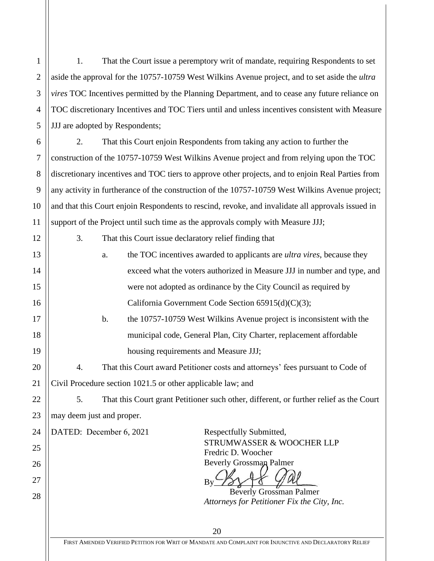1. That the Court issue a peremptory writ of mandate, requiring Respondents to set aside the approval for the 10757-10759 West Wilkins Avenue project, and to set aside the *ultra vires* TOC Incentives permitted by the Planning Department, and to cease any future reliance on TOC discretionary Incentives and TOC Tiers until and unless incentives consistent with Measure JJJ are adopted by Respondents;

2. That this Court enjoin Respondents from taking any action to further the construction of the 10757-10759 West Wilkins Avenue project and from relying upon the TOC discretionary incentives and TOC tiers to approve other projects, and to enjoin Real Parties from any activity in furtherance of the construction of the 10757-10759 West Wilkins Avenue project; and that this Court enjoin Respondents to rescind, revoke, and invalidate all approvals issued in support of the Project until such time as the approvals comply with Measure JJJ;

3. That this Court issue declaratory relief finding that

|  | a. | the TOC incentives awarded to applicants are <i>ultra vires</i> , because they |  |
|--|----|--------------------------------------------------------------------------------|--|
|  |    | exceed what the voters authorized in Measure JJJ in number and type, and       |  |
|  |    | were not adopted as ordinance by the City Council as required by               |  |
|  |    | California Government Code Section $65915(d)(C)(3)$ ;                          |  |

b. the 10757-10759 West Wilkins Avenue project is inconsistent with the municipal code, General Plan, City Charter, replacement affordable housing requirements and Measure JJJ;

4. That this Court award Petitioner costs and attorneys' fees pursuant to Code of Civil Procedure section 1021.5 or other applicable law; and

5. That this Court grant Petitioner such other, different, or further relief as the Court may deem just and proper.

DATED: December 6, 2021 Respectfully Submitted,

1

2

3

4

5

6

7

8

9

10

11

12

13

14

15

16

17

18

19

20

21

22

23

24

25

26

27

28

STRUMWASSER & WOOCHER LLP Fredric D. Woocher Beverly Grossman Palmer

 $By 78 \times 6 990$ 

Beverly Grossman Palmer *Attorneys for Petitioner Fix the City, Inc.*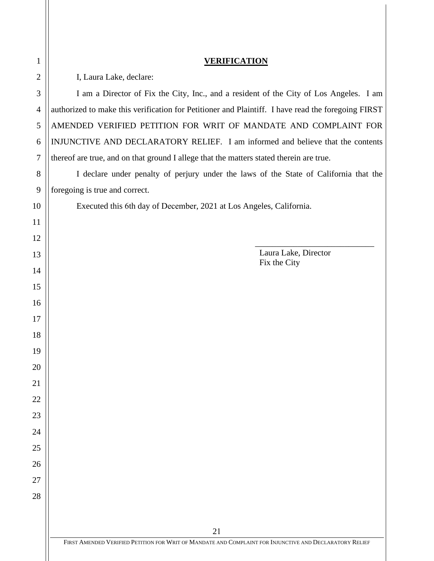| <b>VERIFICATION</b>                                                                                           |  |  |
|---------------------------------------------------------------------------------------------------------------|--|--|
| I, Laura Lake, declare:                                                                                       |  |  |
| I am a Director of Fix the City, Inc., and a resident of the City of Los Angeles. I am                        |  |  |
| authorized to make this verification for Petitioner and Plaintiff. I have read the foregoing FIRST            |  |  |
| AMENDED VERIFIED PETITION FOR WRIT OF MANDATE AND COMPLAINT FOR                                               |  |  |
| INJUNCTIVE AND DECLARATORY RELIEF. I am informed and believe that the contents                                |  |  |
| thereof are true, and on that ground I allege that the matters stated therein are true.                       |  |  |
| I declare under penalty of perjury under the laws of the State of California that the                         |  |  |
| foregoing is true and correct.                                                                                |  |  |
| Executed this 6th day of December, 2021 at Los Angeles, California.                                           |  |  |
|                                                                                                               |  |  |
|                                                                                                               |  |  |
| Laura Lake, Director<br>Fix the City                                                                          |  |  |
|                                                                                                               |  |  |
|                                                                                                               |  |  |
|                                                                                                               |  |  |
|                                                                                                               |  |  |
|                                                                                                               |  |  |
|                                                                                                               |  |  |
|                                                                                                               |  |  |
|                                                                                                               |  |  |
|                                                                                                               |  |  |
|                                                                                                               |  |  |
|                                                                                                               |  |  |
|                                                                                                               |  |  |
|                                                                                                               |  |  |
|                                                                                                               |  |  |
|                                                                                                               |  |  |
|                                                                                                               |  |  |
| 21<br>FIRST AMENDED VERIFIED PETITION FOR WRIT OF MANDATE AND COMPLAINT FOR INJUNCTIVE AND DECLARATORY RELIEF |  |  |
|                                                                                                               |  |  |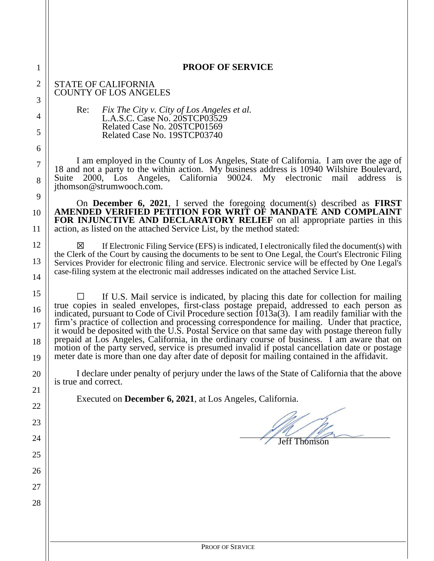| $\mathbf{1}$   | <b>PROOF OF SERVICE</b>                                                                                                                                                                                                                                                                               |  |  |  |  |
|----------------|-------------------------------------------------------------------------------------------------------------------------------------------------------------------------------------------------------------------------------------------------------------------------------------------------------|--|--|--|--|
| $\overline{2}$ | <b>STATE OF CALIFORNIA</b><br><b>COUNTY OF LOS ANGELES</b>                                                                                                                                                                                                                                            |  |  |  |  |
| 3              | Fix The City v. City of Los Angeles et al.<br>Re:<br>L.A.S.C. Case No. 20STCP03529<br>Related Case No. 20STCP01569<br>Related Case No. 19STCP03740                                                                                                                                                    |  |  |  |  |
| 4<br>5         |                                                                                                                                                                                                                                                                                                       |  |  |  |  |
| 6              |                                                                                                                                                                                                                                                                                                       |  |  |  |  |
| $\tau$         | I am employed in the County of Los Angeles, State of California. I am over the age of                                                                                                                                                                                                                 |  |  |  |  |
| 8              | 18 and not a party to the within action. My business address is 10940 Wilshire Boulevard,<br>2000, Los Angeles, California 90024. My electronic<br>mail<br>Suite<br>address<br><b>1S</b><br>jthomson@strumwooch.com.                                                                                  |  |  |  |  |
| 9              | On December 6, 2021, I served the foregoing document(s) described as <b>FIRST</b>                                                                                                                                                                                                                     |  |  |  |  |
| 10             | AMENDED VERIFIED PETITION FOR WRIT OF MANDATE AND COMPLAINT<br><b>FOR INJUNCTIVE AND DECLARATORY RELIEF</b> on all appropriate parties in this                                                                                                                                                        |  |  |  |  |
| 11             | action, as listed on the attached Service List, by the method stated:                                                                                                                                                                                                                                 |  |  |  |  |
| 12             | If Electronic Filing Service (EFS) is indicated, I electronically filed the document(s) with<br>⊠<br>the Clerk of the Court by causing the documents to be sent to One Legal, the Court's Electronic Filing                                                                                           |  |  |  |  |
| 13<br>14       | Services Provider for electronic filing and service. Electronic service will be effected by One I.egal's<br>case-filing system at the electronic mail addresses indicated on the attached Service List.                                                                                               |  |  |  |  |
|                |                                                                                                                                                                                                                                                                                                       |  |  |  |  |
| 15<br>16       | If U.S. Mail service is indicated, by placing this date for collection for mailing<br>true copies in sealed envelopes, first-class postage prepaid, addressed to each person as                                                                                                                       |  |  |  |  |
| 17             | indicated, pursuant to Code of Civil Procedure section $1013a(3)$ . I am readily familiar with the<br>firm's practice of collection and processing correspondence for mailing. Under that practice,<br>it would be deposited with the U.S. Postal Service on that same day with postage thereon fully |  |  |  |  |
| 18<br>19       | prepaid at Los Angeles, California, in the ordinary course of business. I am aware that on<br>motion of the party served, service is presumed invalid if postal cancellation date or postage<br>meter date is more than one day after date of deposit for mailing contained in the affidavit.         |  |  |  |  |
| 20             | I declare under penalty of perjury under the laws of the State of California that the above<br>is true and correct.                                                                                                                                                                                   |  |  |  |  |
| 21             | Executed on December 6, 2021, at Los Angeles, California.                                                                                                                                                                                                                                             |  |  |  |  |
| 22             |                                                                                                                                                                                                                                                                                                       |  |  |  |  |
| 23             |                                                                                                                                                                                                                                                                                                       |  |  |  |  |
| 24             | Thomson                                                                                                                                                                                                                                                                                               |  |  |  |  |
| 25             |                                                                                                                                                                                                                                                                                                       |  |  |  |  |
| 26             |                                                                                                                                                                                                                                                                                                       |  |  |  |  |
| 27<br>28       |                                                                                                                                                                                                                                                                                                       |  |  |  |  |
|                |                                                                                                                                                                                                                                                                                                       |  |  |  |  |
|                |                                                                                                                                                                                                                                                                                                       |  |  |  |  |
|                | PROOF OF SERVICE                                                                                                                                                                                                                                                                                      |  |  |  |  |